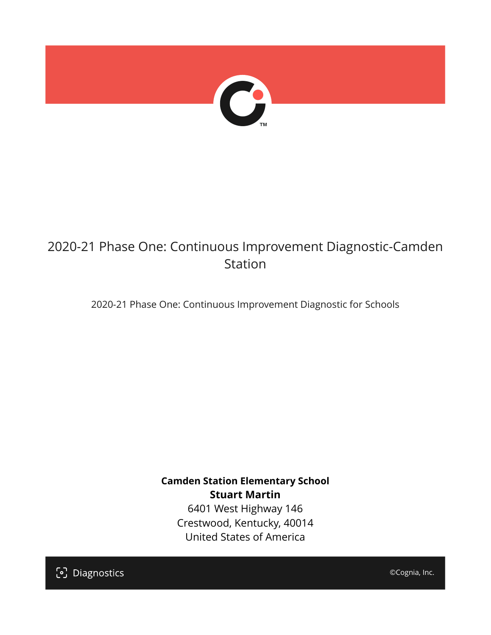

# 2020-21 Phase One: Continuous Improvement Diagnostic-Camden Station

2020-21 Phase One: Continuous Improvement Diagnostic for Schools

**Camden Station Elementary School Stuart Martin** 6401 West Highway 146 Crestwood, Kentucky, 40014 United States of America

[၁] Diagnostics

©Cognia, Inc.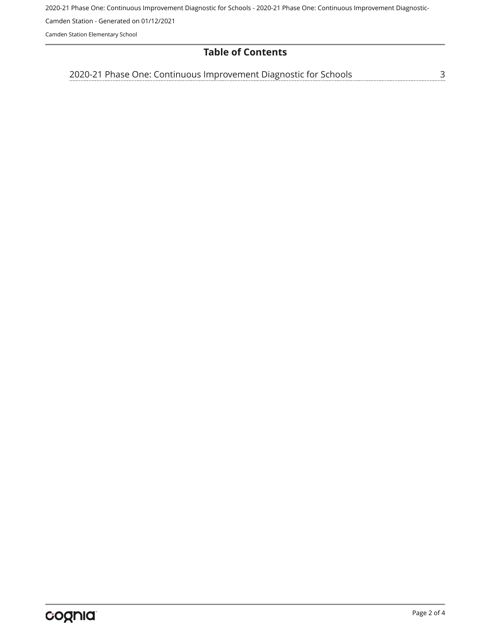2020-21 Phase One: Continuous Improvement Diagnostic for Schools - 2020-21 Phase One: Continuous Improvement Diagnostic-

Camden Station - Generated on 01/12/2021

Camden Station Elementary School

#### **Table of Contents**

<u>[3](#page-2-0)</u> [2020-21 Phase One: Continuous Improvement Diagnostic for Schools](#page-2-0)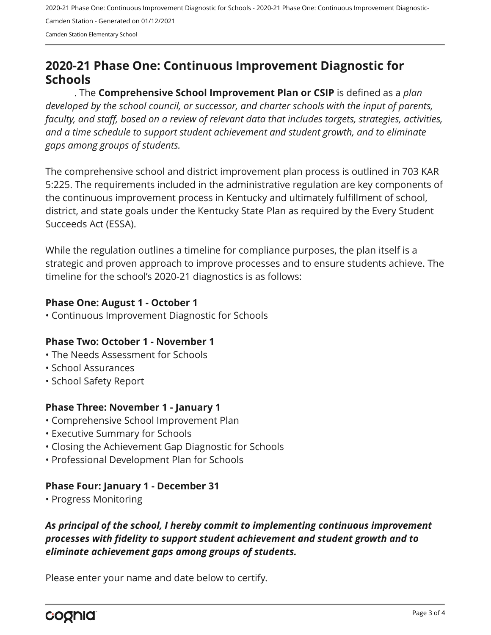2020-21 Phase One: Continuous Improvement Diagnostic for Schools - 2020-21 Phase One: Continuous Improvement Diagnostic-Camden Station - Generated on 01/12/2021 Camden Station Elementary School

## <span id="page-2-0"></span>**2020-21 Phase One: Continuous Improvement Diagnostic for Schools**

. The **Comprehensive School Improvement Plan or CSIP** is defined as a *plan developed by the school council, or successor, and charter schools with the input of parents, faculty, and staff, based on a review of relevant data that includes targets, strategies, activities, and a time schedule to support student achievement and student growth, and to eliminate gaps among groups of students.*

The comprehensive school and district improvement plan process is outlined in 703 KAR 5:225. The requirements included in the administrative regulation are key components of the continuous improvement process in Kentucky and ultimately fulfillment of school, district, and state goals under the Kentucky State Plan as required by the Every Student Succeeds Act (ESSA).

While the regulation outlines a timeline for compliance purposes, the plan itself is a strategic and proven approach to improve processes and to ensure students achieve. The timeline for the school's 2020-21 diagnostics is as follows:

#### **Phase One: August 1 - October 1**

• Continuous Improvement Diagnostic for Schools

#### **Phase Two: October 1 - November 1**

- The Needs Assessment for Schools
- School Assurances
- School Safety Report

#### **Phase Three: November 1 - January 1**

- Comprehensive School Improvement Plan
- Executive Summary for Schools
- Closing the Achievement Gap Diagnostic for Schools
- Professional Development Plan for Schools

#### **Phase Four: January 1 - December 31**

• Progress Monitoring

### *As principal of the school, I hereby commit to implementing continuous improvement processes with fidelity to support student achievement and student growth and to eliminate achievement gaps among groups of students.*

Please enter your name and date below to certify.